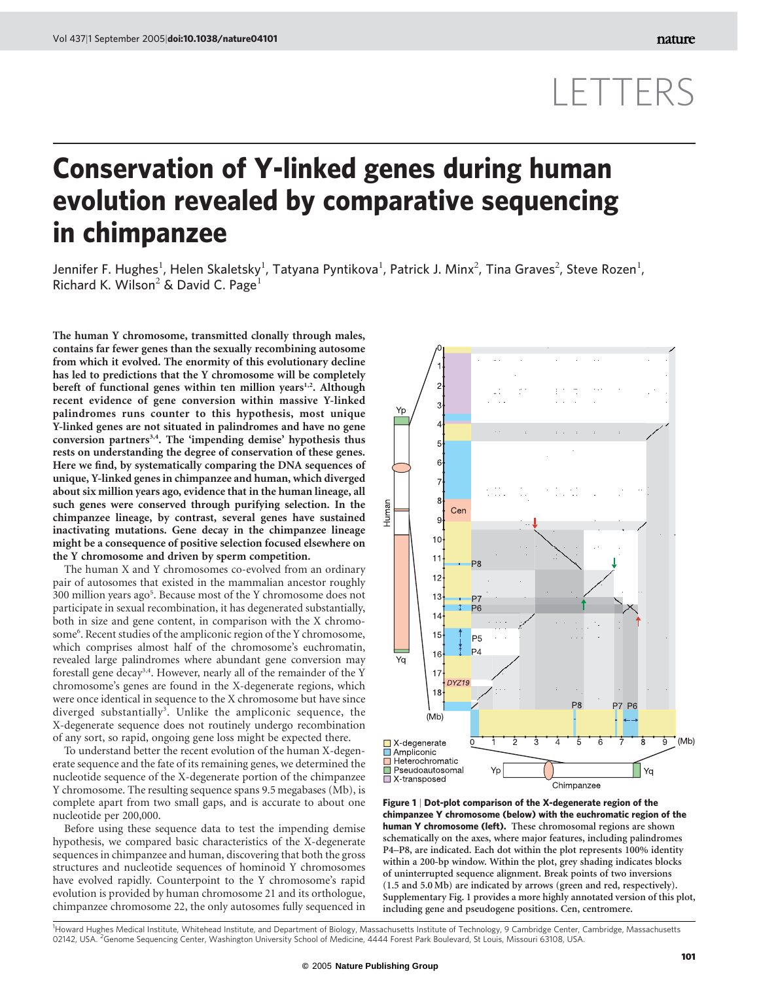## LETTERS

## Conservation of Y-linked genes during human evolution revealed by comparative sequencing in chimpanzee

Jennifer F. Hughes $^1$ , Helen Skaletsky $^1$ , Tatyana Pyntikova $^1$ , Patrick J. Minx $^2$ , Tina Graves $^2$ , Steve Rozen $^1$ , Richard K. Wilson<sup>2</sup> & David C. Page<sup>1</sup>

The human Y chromosome, transmitted clonally through males, contains far fewer genes than the sexually recombining autosome from which it evolved. The enormity of this evolutionary decline has led to predictions that the Y chromosome will be completely bereft of functional genes within ten million years<sup>1,2</sup>. Although recent evidence of gene conversion within massive Y-linked palindromes runs counter to this hypothesis, most unique Y-linked genes are not situated in palindromes and have no gene conversion partners<sup>3,4</sup>. The 'impending demise' hypothesis thus rests on understanding the degree of conservation of these genes. Here we find, by systematically comparing the DNA sequences of unique, Y-linked genes in chimpanzee and human, which diverged about six million years ago, evidence that in the human lineage, all such genes were conserved through purifying selection. In the chimpanzee lineage, by contrast, several genes have sustained inactivating mutations. Gene decay in the chimpanzee lineage might be a consequence of positive selection focused elsewhere on the Y chromosome and driven by sperm competition.

The human X and Y chromosomes co-evolved from an ordinary pair of autosomes that existed in the mammalian ancestor roughly 300 million years ago<sup>5</sup>. Because most of the Y chromosome does not participate in sexual recombination, it has degenerated substantially, both in size and gene content, in comparison with the X chromosome<sup>6</sup>. Recent studies of the ampliconic region of the Y chromosome, which comprises almost half of the chromosome's euchromatin, revealed large palindromes where abundant gene conversion may forestall gene decay<sup>3,4</sup>. However, nearly all of the remainder of the Y chromosome's genes are found in the X-degenerate regions, which were once identical in sequence to the X chromosome but have since diverged substantially<sup>3</sup>. Unlike the ampliconic sequence, the X-degenerate sequence does not routinely undergo recombination of any sort, so rapid, ongoing gene loss might be expected there.

To understand better the recent evolution of the human X-degenerate sequence and the fate of its remaining genes, we determined the nucleotide sequence of the X-degenerate portion of the chimpanzee Y chromosome. The resulting sequence spans 9.5 megabases (Mb), is complete apart from two small gaps, and is accurate to about one nucleotide per 200,000.

Before using these sequence data to test the impending demise hypothesis, we compared basic characteristics of the X-degenerate sequences in chimpanzee and human, discovering that both the gross structures and nucleotide sequences of hominoid Y chromosomes have evolved rapidly. Counterpoint to the Y chromosome's rapid evolution is provided by human chromosome 21 and its orthologue, chimpanzee chromosome 22, the only autosomes fully sequenced in



Figure 1 | Dot-plot comparison of the X-degenerate region of the chimpanzee Y chromosome (below) with the euchromatic region of the human Y chromosome (left). These chromosomal regions are shown schematically on the axes, where major features, including palindromes P4–P8, are indicated. Each dot within the plot represents 100% identity within a 200-bp window. Within the plot, grey shading indicates blocks of uninterrupted sequence alignment. Break points of two inversions (1.5 and 5.0 Mb) are indicated by arrows (green and red, respectively). Supplementary Fig. 1 provides a more highly annotated version of this plot, including gene and pseudogene positions. Cen, centromere.

<sup>1</sup> Howard Hughes Medical Institute, Whitehead Institute, and Department of Biology, Massachusetts Institute of Technology, 9 Cambridge Center, Cambridge, Massachusetts 02142, USA. <sup>2</sup> Genome Sequencing Center, Washington University School of Medicine, 4444 Forest Park Boulevard, St Louis, Missouri 63108, USA.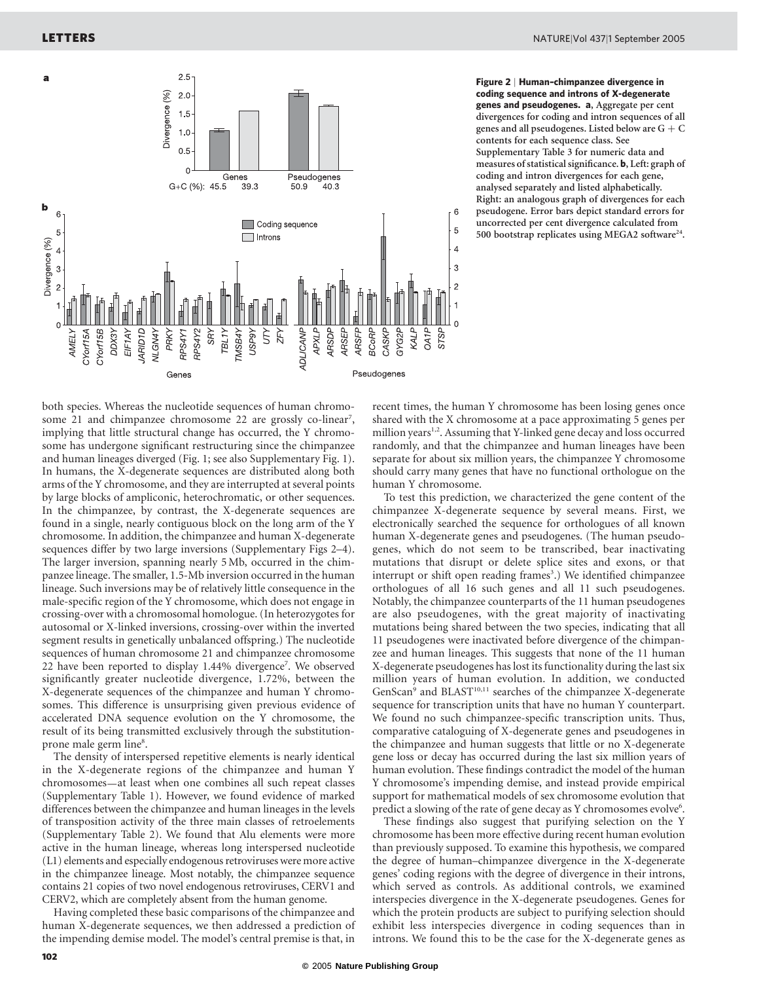

Figure 2 | Human–chimpanzee divergence in coding sequence and introns of X-degenerate genes and pseudogenes. a, Aggregate per cent divergences for coding and intron sequences of all genes and all pseudogenes. Listed below are  $G + C$ contents for each sequence class. See Supplementary Table 3 for numeric data and measures of statistical significance. b, Left: graph of coding and intron divergences for each gene, analysed separately and listed alphabetically. Right: an analogous graph of divergences for each pseudogene. Error bars depict standard errors for uncorrected per cent divergence calculated from 500 bootstrap replicates using MEGA2 software<sup>24</sup>.

both species. Whereas the nucleotide sequences of human chromosome 21 and chimpanzee chromosome 22 are grossly co-linear<sup>7</sup>, implying that little structural change has occurred, the Y chromosome has undergone significant restructuring since the chimpanzee and human lineages diverged (Fig. 1; see also Supplementary Fig. 1). In humans, the X-degenerate sequences are distributed along both arms of the Y chromosome, and they are interrupted at several points by large blocks of ampliconic, heterochromatic, or other sequences. In the chimpanzee, by contrast, the X-degenerate sequences are found in a single, nearly contiguous block on the long arm of the Y chromosome. In addition, the chimpanzee and human X-degenerate sequences differ by two large inversions (Supplementary Figs 2–4). The larger inversion, spanning nearly 5 Mb, occurred in the chimpanzee lineage. The smaller, 1.5-Mb inversion occurred in the human lineage. Such inversions may be of relatively little consequence in the male-specific region of the Y chromosome, which does not engage in crossing-over with a chromosomal homologue. (In heterozygotes for autosomal or X-linked inversions, crossing-over within the inverted segment results in genetically unbalanced offspring.) The nucleotide sequences of human chromosome 21 and chimpanzee chromosome 22 have been reported to display 1.44% divergence<sup>7</sup>. We observed significantly greater nucleotide divergence, 1.72%, between the X-degenerate sequences of the chimpanzee and human Y chromosomes. This difference is unsurprising given previous evidence of accelerated DNA sequence evolution on the Y chromosome, the result of its being transmitted exclusively through the substitutionprone male germ line<sup>8</sup>.

The density of interspersed repetitive elements is nearly identical in the X-degenerate regions of the chimpanzee and human Y chromosomes—at least when one combines all such repeat classes (Supplementary Table 1). However, we found evidence of marked differences between the chimpanzee and human lineages in the levels of transposition activity of the three main classes of retroelements (Supplementary Table 2). We found that Alu elements were more active in the human lineage, whereas long interspersed nucleotide (L1) elements and especially endogenous retroviruses were more active in the chimpanzee lineage. Most notably, the chimpanzee sequence contains 21 copies of two novel endogenous retroviruses, CERV1 and CERV2, which are completely absent from the human genome.

Having completed these basic comparisons of the chimpanzee and human X-degenerate sequences, we then addressed a prediction of the impending demise model. The model's central premise is that, in

recent times, the human Y chromosome has been losing genes once shared with the X chromosome at a pace approximating 5 genes per million years<sup>1,2</sup>. Assuming that Y-linked gene decay and loss occurred randomly, and that the chimpanzee and human lineages have been separate for about six million years, the chimpanzee Y chromosome should carry many genes that have no functional orthologue on the human Y chromosome.

To test this prediction, we characterized the gene content of the chimpanzee X-degenerate sequence by several means. First, we electronically searched the sequence for orthologues of all known human X-degenerate genes and pseudogenes. (The human pseudogenes, which do not seem to be transcribed, bear inactivating mutations that disrupt or delete splice sites and exons, or that interrupt or shift open reading frames<sup>3</sup>.) We identified chimpanzee orthologues of all 16 such genes and all 11 such pseudogenes. Notably, the chimpanzee counterparts of the 11 human pseudogenes are also pseudogenes, with the great majority of inactivating mutations being shared between the two species, indicating that all 11 pseudogenes were inactivated before divergence of the chimpanzee and human lineages. This suggests that none of the 11 human X-degenerate pseudogenes has lost its functionality during the last six million years of human evolution. In addition, we conducted GenScan<sup>9</sup> and BLAST<sup>10,11</sup> searches of the chimpanzee X-degenerate sequence for transcription units that have no human Y counterpart. We found no such chimpanzee-specific transcription units. Thus, comparative cataloguing of X-degenerate genes and pseudogenes in the chimpanzee and human suggests that little or no X-degenerate gene loss or decay has occurred during the last six million years of human evolution. These findings contradict the model of the human Y chromosome's impending demise, and instead provide empirical support for mathematical models of sex chromosome evolution that predict a slowing of the rate of gene decay as Y chromosomes evolve<sup>6</sup>.

These findings also suggest that purifying selection on the Y chromosome has been more effective during recent human evolution than previously supposed. To examine this hypothesis, we compared the degree of human–chimpanzee divergence in the X-degenerate genes' coding regions with the degree of divergence in their introns, which served as controls. As additional controls, we examined interspecies divergence in the X-degenerate pseudogenes. Genes for which the protein products are subject to purifying selection should exhibit less interspecies divergence in coding sequences than in introns. We found this to be the case for the X-degenerate genes as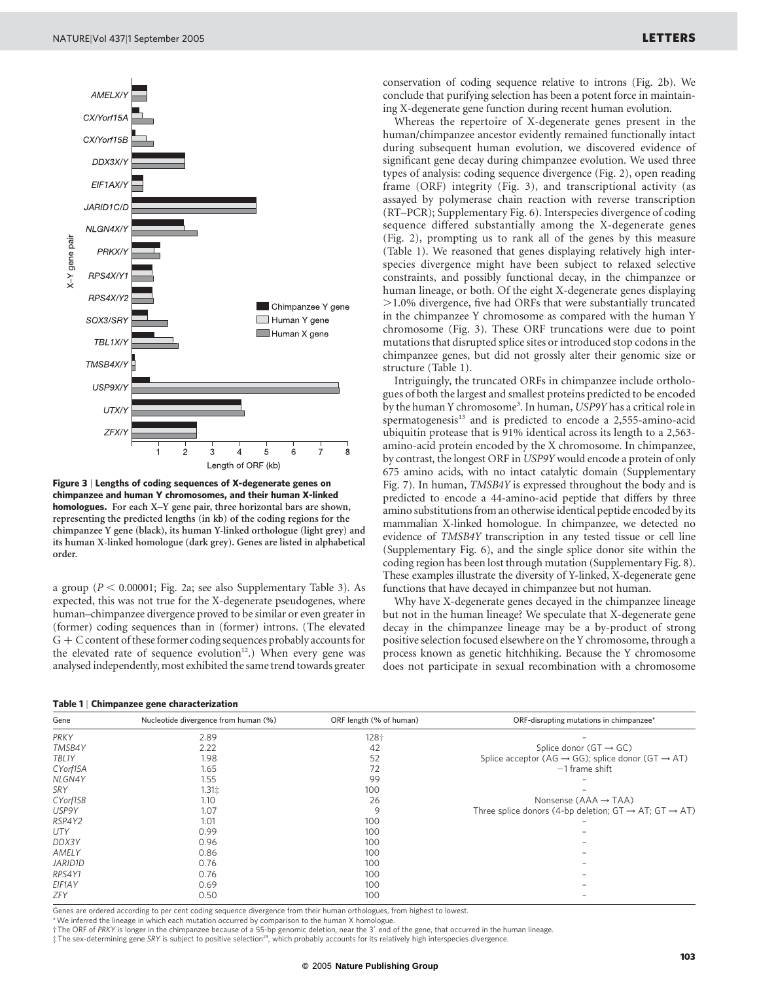

Figure 3 | Lengths of coding sequences of X-degenerate genes on chimpanzee and human Y chromosomes, and their human X-linked homologues. For each X–Y gene pair, three horizontal bars are shown, representing the predicted lengths (in kb) of the coding regions for the chimpanzee Y gene (black), its human Y-linked orthologue (light grey) and its human X-linked homologue (dark grey). Genes are listed in alphabetical order.

a group ( $P < 0.00001$ ; Fig. 2a; see also Supplementary Table 3). As expected, this was not true for the X-degenerate pseudogenes, where human–chimpanzee divergence proved to be similar or even greater in (former) coding sequences than in (former) introns. (The elevated  $G + C$  content of these former coding sequences probably accounts for the elevated rate of sequence evolution $12$ .) When every gene was analysed independently, most exhibited the same trend towards greater conservation of coding sequence relative to introns (Fig. 2b). We conclude that purifying selection has been a potent force in maintaining X-degenerate gene function during recent human evolution.

Whereas the repertoire of X-degenerate genes present in the human/chimpanzee ancestor evidently remained functionally intact during subsequent human evolution, we discovered evidence of significant gene decay during chimpanzee evolution. We used three types of analysis: coding sequence divergence (Fig. 2), open reading frame (ORF) integrity (Fig. 3), and transcriptional activity (as assayed by polymerase chain reaction with reverse transcription (RT–PCR); Supplementary Fig. 6). Interspecies divergence of coding sequence differed substantially among the X-degenerate genes (Fig. 2), prompting us to rank all of the genes by this measure (Table 1). We reasoned that genes displaying relatively high interspecies divergence might have been subject to relaxed selective constraints, and possibly functional decay, in the chimpanzee or human lineage, or both. Of the eight X-degenerate genes displaying  $>1.0\%$  divergence, five had ORFs that were substantially truncated in the chimpanzee Y chromosome as compared with the human Y chromosome (Fig. 3). These ORF truncations were due to point mutations that disrupted splice sites or introduced stop codons in the chimpanzee genes, but did not grossly alter their genomic size or structure (Table 1).

Intriguingly, the truncated ORFs in chimpanzee include orthologues of both the largest and smallest proteins predicted to be encoded by the human Y chromosome<sup>3</sup>. In human, USP9Y has a critical role in spermatogenesis<sup>13</sup> and is predicted to encode a 2,555-amino-acid ubiquitin protease that is 91% identical across its length to a 2,563 amino-acid protein encoded by the X chromosome. In chimpanzee, by contrast, the longest ORF in USP9Y would encode a protein of only 675 amino acids, with no intact catalytic domain (Supplementary Fig. 7). In human, TMSB4Y is expressed throughout the body and is predicted to encode a 44-amino-acid peptide that differs by three amino substitutions from an otherwise identical peptide encoded by its mammalian X-linked homologue. In chimpanzee, we detected no evidence of TMSB4Y transcription in any tested tissue or cell line (Supplementary Fig. 6), and the single splice donor site within the coding region has been lost through mutation (Supplementary Fig. 8). These examples illustrate the diversity of Y-linked, X-degenerate gene functions that have decayed in chimpanzee but not human.

Why have X-degenerate genes decayed in the chimpanzee lineage but not in the human lineage? We speculate that X-degenerate gene decay in the chimpanzee lineage may be a by-product of strong positive selection focused elsewhere on the Y chromosome, through a process known as genetic hitchhiking. Because the Y chromosome does not participate in sexual recombination with a chromosome

|  | Table 1   Chimpanzee gene characterization |  |  |  |
|--|--------------------------------------------|--|--|--|
|--|--------------------------------------------|--|--|--|

| Gene       | Nucleotide divergence from human (%) | ORF length (% of human) | ORF-disrupting mutations in chimpanzee*                                         |  |
|------------|--------------------------------------|-------------------------|---------------------------------------------------------------------------------|--|
| PRKY       | 2.89                                 | 128个                    |                                                                                 |  |
| TMSB4Y     | 2.22                                 | 42                      | Splice donor $(GT \rightarrow GC)$                                              |  |
| TBL1Y      | 1.98                                 | 52                      | Splice acceptor (AG $\rightarrow$ GG); splice donor (GT $\rightarrow$ AT)       |  |
| CYorf15A   | 1.65                                 | 72                      | $-1$ frame shift                                                                |  |
| NLGN4Y     | 1.55                                 | 99                      |                                                                                 |  |
| SRY        | $1.31$ *                             | 100                     |                                                                                 |  |
| CY orf15B  | 1.10                                 | 26                      | Nonsense $(AAA \rightarrow TAA)$                                                |  |
| USP9Y      | 1.07                                 | 9                       | Three splice donors (4-bp deletion; $GT \rightarrow AT$ ; $GT \rightarrow AT$ ) |  |
| RSP4Y2     | 1.01                                 | 100                     |                                                                                 |  |
| <b>UTY</b> | 0.99                                 | 100                     |                                                                                 |  |
| DDX3Y      | 0.96                                 | 100                     |                                                                                 |  |
| AMELY      | 0.86                                 | 100                     |                                                                                 |  |
| JARID1D    | 0.76                                 | 100                     |                                                                                 |  |
| RPS4Y1     | 0.76                                 | 100                     |                                                                                 |  |
| EIF1AY     | 0.69                                 | 100                     |                                                                                 |  |
| ZFY        | 0.50                                 | 100                     |                                                                                 |  |

Genes are ordered according to per cent coding sequence divergence from their human orthologues, from highest to lowest.

\*We inferred the lineage in which each mutation occurred by comparison to the human X homologue.

†The ORF of PRKY is longer in the chimpanzee because of a 55-bp genomic deletion, near the 3<sup>0</sup> end of the gene, that occurred in the human lineage.

‡The sex-determining gene SRY is subject to positive selection23, which probably accounts for its relatively high interspecies divergence.